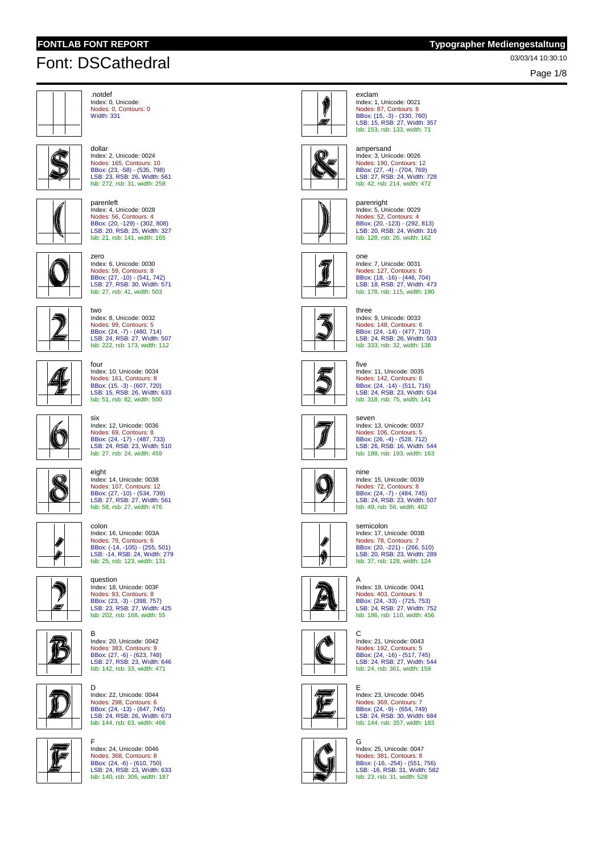dollar

zero

two

### **FONTLAB FONT REPORT Typographer Mediengestaltung**

03/03/14 10:30:10 Font: DSCathedral

Page 1/8



.notdef Index: 0, Unicode: Nodes: 0, Contours: 0 Width: 331



LSB: 23, RSB: 26, Width: 561 lsb: 272, rsb: 31, width: 258 parenleft

Index: 2, Unicode: 0024 Nodes: 165, Contours: 10 BBox: (23, -58) - (535, 798)



Index: 4, Unicode: 0028 Nodes: 56, Contours: 4 BBox: (20, -129) - (302, 808) LSB: 20, RSB: 25, Width: 327 lsb: 21, rsb: 141, width: 165



Index: 6, Unicode: 0030 Nodes: 59, Contours: 8 BBox: (27, -10) - (541, 742) LSB: 27, RSB: 30, Width: 571 lsb: 27, rsb: 41, width: 503

Index: 8, Unicode: 0032 Nodes: 99, Contours: 5 BBox: (24, -7) - (480, 714) LSB: 24, RSB: 27, Width: 507 lsb: 222, rsb: 173, width: 112



four Index: 10, Unicode: 0034 Nodes: 161, Contours: 8 BBox: (15, -3) - (607, 720) LSB: 15, RSB: 26, Width: 633 lsb: 51, rsb: 82, width: 500

six

eight

colon



ς,

Index: 12, Unicode: 0036 Nodes: 69, Contours: 8 BBox: (24, -17) - (487, 733) LSB: 24, RSB: 23, Width: 510 lsb: 27, rsb: 24, width: 459

Index: 14, Unicode: 0038

Nodes: 107, Contours: 12 BBox: (27, -10) - (534, 739) LSB: 27, RSB: 27, Width: 561 lsb: 58, rsb: 27, width: 476



⋒



Index: 16, Unicode: 003A Nodes: 79, Contours: 6 BBox: (-14, -105) - (255, 501) LSB: -14, RSB: 24, Width: 279 lsb: 25, rsb: 123, width: 131 question



D



Index: 20, Unicode: 0042 Nodes: 383, Contours: 9 BBox: (27, -6) - (623, 748) LSB: 27, RSB: 23, Width: 646 lsb: 142, rsb: 33, width: 471



G

F Index: 24, Unicode: 0046

Index: 22, Unicode: 0044 Nodes: 298, Contours: 6 BBox: (24, -13) - (647, 745) LSB: 24, RSB: 26, Width: 673 lsb: 144, rsb: 63, width: 466





exclam Index: 1, Unicode: 0021 Nodes: 87, Contours: 8 BBox: (15, -3) - (330, 760) LSB: 15, RSB: 27, Width: 357 lsb: 153, rsb: 133, width: 71



### ampersand Index: 3, Unicode: 0026 Nodes: 190, Contours: 12 BBox: (27, -4) - (704, 769) LSB: 27, RSB: 24, Width: 728 lsb: 42, rsb: 214, width: 472



parenright Index: 5, Unicode: 0029 Nodes: 52, Contours: 4 BBox: (20, -123) - (292, 813) LSB: 20, RSB: 24, Width: 316 lsb: 128, rsb: 26, width: 162

Index: 7, Unicode: 0031





three Index: 9, Unicode: 0033 Nodes: 148, Contours: 6 BBox: (24, -14) - (477, 710) LSB: 24, RSB: 26, Width: 503 lsb: 333, rsb: 32, width: 138

Nodes: 127, Contours: 6 BBox: (18, -16) - (446, 704) LSB: 18, RSB: 27, Width: 473 lsb: 178, rsb: 115, width: 180



five Index: 11, Unicode: 0035 Nodes: 142, Contours: 6 BBox: (24, -14) - (511, 716) LSB: 24, RSB: 23, Width: 534 lsb: 318, rsb: 75, width: 141

### seven

one



Index: 13, Unicode: 0037 Nodes: 106, Contours: 5 BBox: (26, -4) - (528, 712) LSB: 26, RSB: 16, Width: 544 lsb: 188, rsb: 193, width: 163



nine Index: 15, Unicode: 0039 Nodes: 72, Contours: 8 BBox: (24, -7) - (484, 745) LSB: 24, RSB: 23, Width: 507 lsb: 49, rsb: 56, width: 402



C

semicolon Index: 17, Unicode: 003B Nodes: 78, Contours: 7 BBox: (20, -221) - (266, 510) LSB: 20, RSB: 23, Width: 289 lsb: 37, rsb: 128, width: 124



A Index: 19, Unicode: 0041 Nodes: 403, Contours: 9 BBox: (24, -33) - (725, 753) LSB: 24, RSB: 27, Width: 752 lsb: 186, rsb: 110, width: 456



Index: 21, Unicode: 0043 Nodes: 192, Contours: 5 BBox: (24, -16) - (517, 745) LSB: 24, RSB: 27, Width: 544 lsb: 24, rsb: 361, width: 159



E Index: 23, Unicode: 0045 Nodes: 369, Contours: 7 BBox: (24, -9) - (654, 749) LSB: 24, RSB: 30, Width: 684 lsb: 144, rsb: 357, width: 183



G Index: 25, Unicode: 0047 Nodes: 381, Contours: 8 BBox: (-16, -254) - (551, 756) LSB: -16, RSB: 31, Width: 582 lsb: 23, rsb: 31, width: 528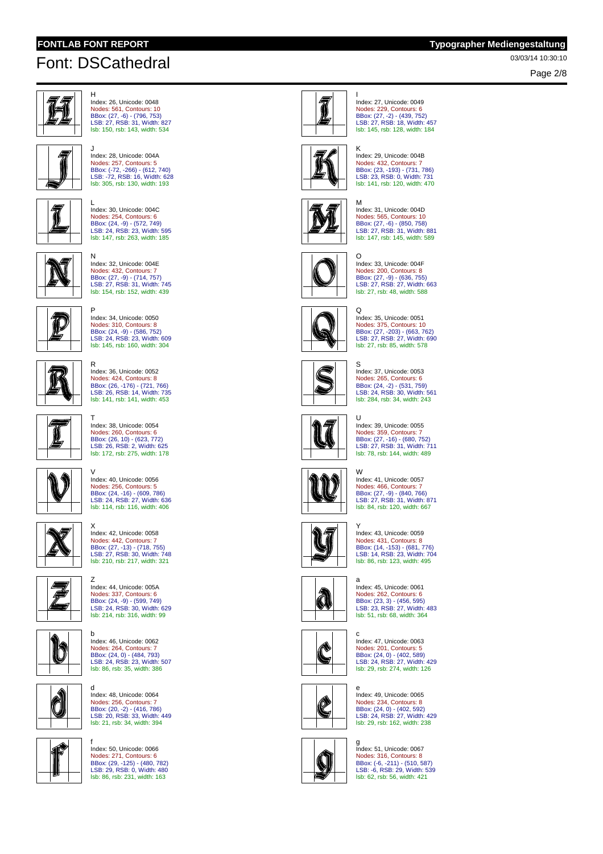H

N

R

T

 $\overline{z}$ 

d

# 03/03/14 10:30:10 Font: DSCathedral

Page 2/8



Index: 26, Unicode: 0048 Nodes: 561, Contours: 10 BBox: (27, -6) - (796, 753) LSB: 27, RSB: 31, Width: 827 lsb: 150, rsb: 143, width: 534



**J**<br>Index: 28, Unicode: 004A<br>Nodes: 257, Contours: 5<br>BBox: (-72, -266) - (612, 740)<br>LSB: -72, RSB: 16, Width: 628 lsb: 305, rsb: 130, width: 193



L Index: 30, Unicode: 004C Nodes: 254, Contours: 6 BBox: (24, -9) - (572, 749) LSB: 24, RSB: 23, Width: 595 lsb: 147, rsb: 263, width: 185



Nodes: 432, Contours: 7 BBox: (27, -9) - (714, 757) LSB: 27, RSB: 31, Width: 745 lsb: 154, rsb: 152, width: 439 P Index: 34, Unicode: 0050 Nodes: 310, Contours: 8

Index: 32, Unicode: 004E



BBox: (24, -9) - (586, 752) LSB: 24, RSB: 23, Width: 609 lsb: 145, rsb: 160, width: 304



Index: 36, Unicode: 0052 Nodes: 424, Contours: 8 BBox: (26, -176) - (721, 766) LSB: 26, RSB: 14, Width: 735 lsb: 141, rsb: 141, width: 453



Nodes: 260, Contours: 6 BBox: (26, 10) - (623, 772) LSB: 26, RSB: 2, Width: 625 lsb: 172, rsb: 275, width: 178

Index: 38, Unicode: 0054



Nodes: 256, Contours: 5 BBox: (24, -16) - (609, 786) LSB: 24, RSB: 27, Width: 636 lsb: 114, rsb: 116, width: 406



X Index: 42, Unicode: 0058 Nodes: 442, Contours: 7 BBox: (27, -13) - (718, 755) LSB: 27, RSB: 30, Width: 748 lsb: 210, rsb: 217, width: 321



Nodes: 337, Contours: 6 BBox: (24, -9) - (599, 749) LSB: 24, RSB: 30, Width: 629 lsb: 214, rsb: 316, width: 99 b

Index: 44, Unicode: 005A



Index: 46, Unicode: 0062 Nodes: 264, Contours: 7 BBox: (24, 0) - (484, 793) LSB: 24, RSB: 23, Width: 507 lsb: 86, rsb: 35, width: 386



ß

f Index: 50, Unicode: 0066

Index: 48, Unicode: 0064 Nodes: 256, Contours: 7 BBox: (20, -2) - (416, 786) LSB: 20, RSB: 33, Width: 449 lsb: 21, rsb: 34, width: 394





I Index: 27, Unicode: 0049 Nodes: 229, Contours: 6 BBox: (27, -2) - (439, 752) LSB: 27, RSB: 18, Width: 457 lsb: 145, rsb: 128, width: 184



K Index: 29, Unicode: 004B Nodes: 432, Contours: 7 BBox: (23, -193) - (731, 786) LSB: 23, RSB: 0, Width: 731 lsb: 141, rsb: 120, width: 470

M

 $\Omega$ 



Index: 31, Unicode: 004D Nodes: 565, Contours: 10 BBox: (27, -6) - (850, 758)<br>LSB: 27, RSB: 31, Width: 881<br>Isb: 147, rsb: 145, width: 589



O Index: 33, Unicode: 004F Nodes: 200, Contours: 8 BBox: (27, -9) - (636, 755)<br>LSB: 27, RSB: 27, Width: 663<br><mark>Isb: 27, rsb: 48, width: 588</mark>



Index: 35, Unicode: 0051 Nodes: 375, Contours: 10 BBox: (27, -203) - (663, 762) LSB: 27, RSB: 27, Width: 690 lsb: 27, rsb: 85, width: 578



S Index: 37, Unicode: 0053 Nodes: 265, Contours: 6 BBox: (24, -2) - (531, 759) LSB: 24, RSB: 30, Width: 561 lsb: 284, rsb: 34, width: 243



 $\overline{U}$ Index: 39, Unicode: 0055 Nodes: 359, Contours: 7 BBox: (27, -16) - (680, 752) LSB: 27, RSB: 31, Width: 711 lsb: 78, rsb: 144, width: 489



W Index: 41, Unicode: 0057 Nodes: 466, Contours: 7 BBox: (27, -9) - (840, 766) LSB: 27, RSB: 31, Width: 871 lsb: 84, rsb: 120, width: 667



Y Index: 43, Unicode: 0059 Nodes: 431, Contours: 8 BBox: (14, -153) - (681, 776) LSB: 14, RSB: 23, Width: 704 lsb: 86, rsb: 123, width: 495



a Index: 45, Unicode: 0061 Nodes: 262, Contours: 6 BBox: (23, 3) - (456, 595) LSB: 23, RSB: 27, Width: 483 lsb: 51, rsb: 68, width: 364



c Index: 47, Unicode: 0063 Nodes: 201, Contours: 5 BBox: (24, 0) - (402, 589) LSB: 24, RSB: 27, Width: 429 lsb: 29, rsb: 274, width: 126



e Index: 49, Unicode: 0065 Nodes: 234, Contours: 8 BBox: (24, 0) - (402, 592) LSB: 24, RSB: 27, Width: 429 lsb: 29, rsb: 162, width: 238



g Index: 51, Unicode: 0067 Nodes: 316, Contours: 8 BBox: (-6, -211) - (510, 587) LSB: -6, RSB: 29, Width: 539 lsb: 62, rsb: 56, width: 421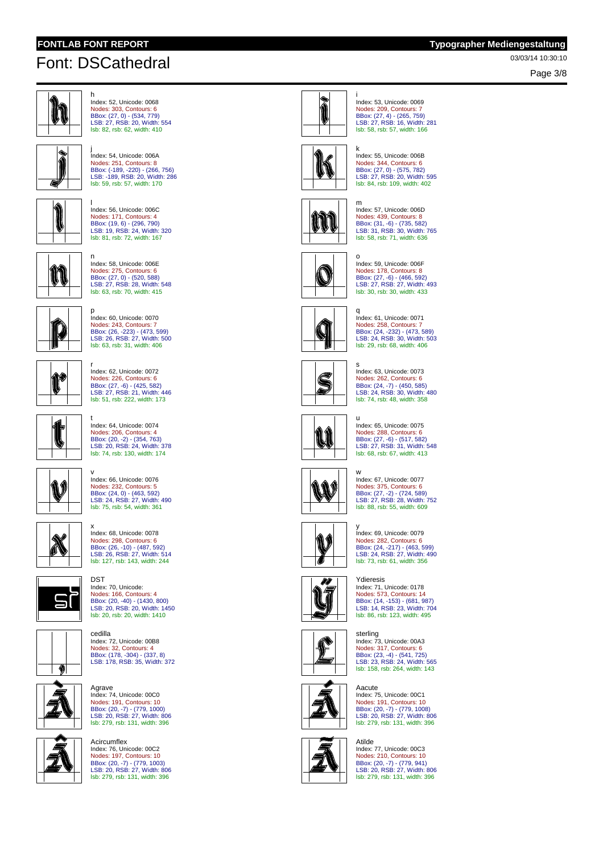Page 3/8



h Index: 52, Unicode: 0068 Nodes: 303, Contours: 6 BBox: (27, 0) - (534, 779) LSB: 27, RSB: 20, Width: 554 lsb: 82, rsb: 62, width: 410



j Index: 54, Unicode: 006A Nodes: 251, Contours: 8 BBox: (-189, -220) - (266, 756) LSB: -189, RSB: 20, Width: 286 lsb: 59, rsb: 57, width: 170



l Index: 56, Unicode: 006C Nodes: 171, Contours: 4 BBox: (19, 6) - (296, 790) LSB: 19, RSB: 24, Width: 320 lsb: 81, rsb: 72, width: 167



n Index: 58, Unicode: 006E Nodes: 275, Contours: 6 BBox: (27, 0) - (520, 588) LSB: 27, RSB: 28, Width: 548

lsb: 63, rsb: 70, width: 415



p Index: 60, Unicode: 0070 Nodes: 243, Contours: 7 BBox: (26, -223) - (473, 599) LSB: 26, RSB: 27, Width: 500 lsb: 63, rsb: 31, width: 406



r Index: 62, Unicode: 0072 Nodes: 226, Contours: 6 BBox: (27, -6) - (425, 582)<br>LSB: 27, RSB: 21, Width: 446<br><mark>Isb:</mark> 51, rsb: 222, width: 173



Û

t

DST

Nodes: 206, Contours: 4 BBox: (20, -2) - (354, 763) LSB: 20, RSB: 24, Width: 378 lsb: 74, rsb: 130, width: 174

Index: 64, Unicode: 0074





x Index: 68, Unicode: 0078 Nodes: 298, Contours: 6 BBox: (26, -10) - (487, 592) LSB: 26, RSB: 27, Width: 514 lsb: 127, rsb: 143, width: 244

Index: 70, Unicode:



Nodes: 166, Contours: 4 BBox: (20, -40) - (1430, 800) LSB: 20, RSB: 20, Width: 1450 lsb: 20, rsb: 20, width: 1410 cedilla



Index: 72, Unicode: 00B8 Nodes: 32, Contours: 4 BBox: (178, -304) - (337, 8) LSB: 178, RSB: 35, Width: 372

Agrave Index: 74, Unicode: 00C0 Nodes: 191, Contours: 10 BBox: (20, -7) - (779, 1000) LSB: 20, RSB: 27, Width: 806



lsb: 279, rsb: 131, width: 396 **Acircumfley** Index: 76, Unicode: 00C2 Nodes: 197, Contours: 10 BBox: (20, -7) - (779, 1003) LSB: 20, RSB: 27, Width: 806 lsb: 279, rsb: 131, width: 396



i Index: 53, Unicode: 0069 Nodes: 209, Contours: 7 BBox: (27, 4) - (265, 759) LSB: 27, RSB: 16, Width: 281 lsb: 58, rsb: 57, width: 166



k Index: 55, Unicode: 006B Nodes: 344, Contours: 6 BBox: (27, 0) - (575, 782) LSB: 27, RSB: 20, Width: 595 lsb: 84, rsb: 109, width: 402



m

Index: 57, Unicode: 006D Nodes: 439, Contours: 8 BBox: (31, -6) - (735, 582) LSB: 31, RSB: 30, Width: 765 lsb: 58, rsb: 71, width: 636



o Index: 59, Unicode: 006F Nodes: 178, Contours: 8 BBox: (27, -6) - (466, 592)<br>LSB: 27, RSB: 27, Width: 493<br><mark>Isb: 30, rsb: 30, width: 433</mark>



q Index: 61, Unicode: 0071 Nodes: 258, Contours: 7 BBox: (24, -232) - (473, 589) LSB: 24, RSB: 30, Width: 503 lsb: 29, rsb: 68, width: 406



s Index: 63, Unicode: 0073 Nodes: 262, Contours: 6 BBox: (24, -7) - (450, 585) LSB: 24, RSB: 30, Width: 480 lsb: 74, rsb: 48, width: 358



u Index: 65, Unicode: 0075 Nodes: 288, Contours: 6 BBox: (27, -6) - (517, 582) LSB: 27, RSB: 31, Width: 548 lsb: 68, rsb: 67, width: 413



w Index: 67, Unicode: 0077 Nodes: 375, Contours: 6 BBox: (27, -2) - (724, 589) LSB: 27, RSB: 28, Width: 752 lsb: 88, rsb: 55, width: 609



D

y Index: 69, Unicode: 0079 Nodes: 282, Contours: 6 BBox: (24, -217) - (463, 599) LSB: 24, RSB: 27, Width: 490 lsb: 73, rsb: 61, width: 356

Ydieresis Index: 71, Unicode: 0178 Nodes: 573, Contours: 14 BBox: (14, -153) - (681, 987) LSB: 14, RSB: 23, Width: 704 lsb: 86, rsb: 123, width: 495



sterling Index: 73, Unicode: 00A3 Nodes: 317, Contours: 6 BBox: (23, -4) - (541, 725) LSB: 23, RSB: 24, Width: 565 lsb: 158, rsb: 264, width: 143



Aacute Index: 75, Unicode: 00C1 Nodes: 191, Contours: 10 BBox: (20, -7) - (779, 1008) LSB: 20, RSB: 27, Width: 806 lsb: 279, rsb: 131, width: 396



Atilde Index: 77, Unicode: 00C3 Nodes: 210, Contours: 10 BBox: (20, -7) - (779, 941) LSB: 20, RSB: 27, Width: 806 lsb: 279, rsb: 131, width: 396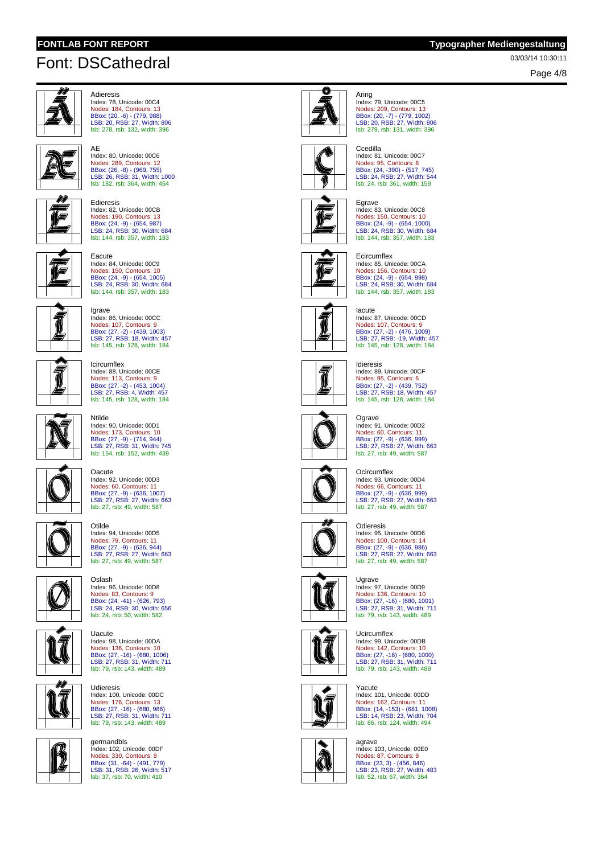AE

### **FONTLAB FONT REPORT Typographer Mediengestaltung**

03/03/14 10:30:11 Font: DSCathedral

Page 4/8



```
Adieresis
Index: 78, Unicode: 00C4
Nodes: 184, Contours: 13
BBox: (20, -6) - (779, 988)
LSB: 20, RSB: 27, Width: 806
lsb: 278, rsb: 132, width: 396
```


BBox: (26, -8) - (969, 755) LSB: 26, RSB: 31, Width: 1000 lsb: 182, rsb: 364, width: 454 Edieresis

Index: 80, Unicode: 00C6 Nodes: 289, Contours: 12



Index: 82, Unicode: 00CB Nodes: 190, Contours: 13 BBox: (24, -9) - (654, 987) LSB: 24, RSB: 30, Width: 684 lsb: 144, rsb: 357, width: 183



Eacute Index: 84, Unicode: 00C9 Nodes: 150, Contours: 10 BBox: (24, -9) - (654, 1005)<br>LSB: 24, RSB: 30, Width: 684<br><mark>Isb: 144, rsb: 357, width: 183</mark>



Igrave Index: 86, Unicode: 00CC Nodes: 107, Contours: 9 BBox: (27, -2) - (439, 1003) LSB: 27, RSB: 18, Width: 457 lsb: 145, rsb: 128, width: 184

Index: 88, Unicode: 00CE Nodes: 113, Contours: 9 BBox: (27, -2) - (453, 1004) LSB: 27, RSB: 4, Width: 457 lsb: 145, rsb: 128, width: 184

Icircumflex

**Oacute** 



Ntilde Index: 90, Unicode: 00D1 Nodes: 173, Contours: 10 BBox: (27, -9) - (714, 944) LSB: 27, RSB: 31, Width: 745 lsb: 154, rsb: 152, width: 439

Index: 92, Unicode: 00D3

Nodes: 60, Contours: 11 BBox: (27, -9) - (636, 1007) LSB: 27, RSB: 27, Width: 663 lsb: 27, rsb: 49, width: 587



Otilde Index: 94, Unicode: 00D5 Nodes: 79, Contours: 11 BBox: (27, -9) - (636, 944) LSB: 27, RSB: 27, Width: 663 lsb: 27, rsb: 49, width: 587





**Uacute** Index: 98, Unicode: 00DA Nodes: 136, Contours: 10 BBox: (27, -16) - (680, 1006) LSB: 27, RSB: 31, Width: 711 lsb: 79, rsb: 143, width: 489



germandbls Index: 102, Unicode: 00DF Nodes: 330, Contours: 9 BBox: (31, -64) - (491, 779) LSB: 31, RSB: 26, Width: 517 lsb: 37, rsb: 70, width: 410

Udieresis Index: 100, Unicode: 00DC Nodes: 176, Contours: 13 BBox: (27, -16) - (680, 986) LSB: 27, RSB: 31, Width: 711 lsb: 79, rsb: 143, width: 489



Aring Index: 79, Unicode: 00C5 Nodes: 209, Contours: 13 BBox: (20, -7) - (779, 1002) LSB: 20, RSB: 27, Width: 806 lsb: 279, rsb: 131, width: 396



## **Ccedilla**

Index: 81, Unicode: 00C7 Nodes: 95, Contours: 8 BBox: (24, -390) - (517, 745) LSB: 24, RSB: 27, Width: 544 lsb: 24, rsb: 361, width: 159



**E**grave Index: 83, Unicode: 00C8 Nodes: 150, Contours: 10 BBox: (24, -9) - (654, 1000)<br>LSB: 24, RSB: 30, Width: 684<br>Isb: 144, rsb: 357, width: 183

### **Ecircumflex** Index: 85, Unicode: 00CA Nodes: 156, Contours: 10

G



Iacute Index: 87, Unicode: 00CD Nodes: 107, Contours: 9 BBox: (27, -2) - (476, 1009) LSB: 27, RSB: -19, Width: 457 lsb: 145, rsb: 128, width: 184

BBox: (24, -9) - (654, 998)<br>LSB: 24, RSB: 30, Width: 684<br><mark>Isb: 144, rsb: 357, width: 183</mark>



Idieresis Index: 89, Unicode: 00CF Nodes: 95, Contours: 6 BBox: (27, -2) - (439, 752) LSB: 27, RSB: 18, Width: 457 lsb: 145, rsb: 128, width: 184



Index: 91, Unicode: 00D2 Nodes: 60, Contours: 11 BBox: (27, -9) - (636, 999) LSB: 27, RSB: 27, Width: 663 lsb: 27, rsb: 49, width: 587



**Ocircumflex** Index: 93, Unicode: 00D4 Nodes: 66, Contours: 11 BBox: (27, -9) - (636, 999) LSB: 27, RSB: 27, Width: 663 lsb: 27, rsb: 49, width: 587



Odieresis Index: 95, Unicode: 00D6 Nodes: 100, Contours: 14 BBox: (27, -9) - (636, 986)<br>LSB: 27, RSB: 27, Width: 663<br><mark>Isb: 27, rsb: 49, width: 587</mark>



Index: 97, Unicode: 00D9 Nodes: 136, Contours: 10 BBox: (27, -16) - (680, 1001) LSB: 27, RSB: 31, Width: 711 lsb: 79, rsb: 143, width: 489

#### **Ucircumflex**



Index: 99, Unicode: 00DB Nodes: 142, Contours: 10 BBox: (27, -16) - (680, 1000) LSB: 27, RSB: 31, Width: 711 lsb: 79, rsb: 143, width: 489



Yacute Index: 101, Unicode: 00DD Nodes: 162, Contours: 11 BBox: (14, -153) - (681, 1008) LSB: 14, RSB: 23, Width: 704 lsb: 86, rsb: 124, width: 494



agrave Index: 103, Unicode: 00E0 Nodes: 87, Contours: 9 BBox: (23, 3) - (456, 846) LSB: 23, RSB: 27, Width: 483 lsb: 52, rsb: 67, width: 364

**Ograve** 



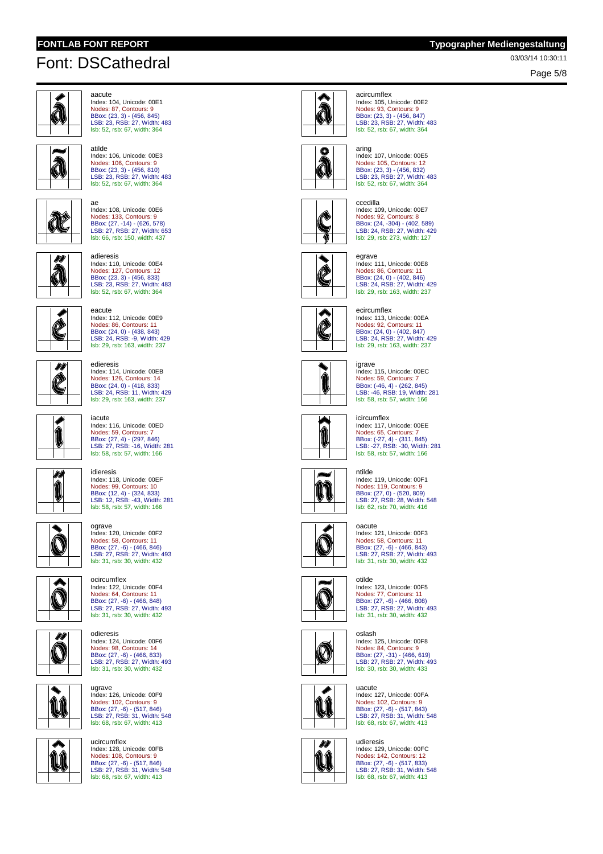atilde



aacute Index: 104, Unicode: 00E1 Nodes: 87, Contours: 9 BBox: (23, 3) - (456, 845) LSB: 23, RSB: 27, Width: 483 lsb: 52, rsb: 67, width: 364



**N** 

ae Index: 108, Unicode: 00E6 Nodes: 133, Contours: 9 BBox: (27, -14) - (626, 578) LSB: 27, RSB: 27, Width: 653 lsb: 66, rsb: 150, width: 437

lsb: 52, rsb: 67, width: 364



adieresis Index: 110, Unicode: 00E4 Nodes: 127, Contours: 12 BBox: (23, 3) - (456, 833) LSB: 23, RSB: 27, Width: 483 lsb: 52, rsb: 67, width: 364



Index: 112, Unicode: 00E9 Nodes: 86, Contours: 11 BBox: (24, 0) - (438, 843)<br>LSB: 24, RSB: -9, Width: 429<br><mark>Isb: 29, rsb: 163, width: 237</mark>

Index: 114, Unicode: 00EB Nodes: 126, Contours: 14

eacute

edieresis



BBox: (24, 0) - (418, 833)<br>LSB: 24, RSB: 11, Width: 429<br><mark>Isb: 29, rsb: 163, width: 237</mark> iacute Index: 116, Unicode: 00ED Nodes: 59, Contours: 7 BBox: (27, 4) - (297, 846) LSB: 27, RSB: -16, Width: 281 lsb: 58, rsb: 57, width: 166



Í

idieresis Index: 118, Unicode: 00EF Nodes: 99, Contours: 10 BBox: (12, 4) - (324, 833) LSB: 12, RSB: -43, Width: 281 lsb: 58, rsb: 57, width: 166

ograve Index: 120, Unicode: 00F2







Index: 124, Unicode: 00F6 Nodes: 98, Contours: 14 BBox: (27, -6) - (466, 833) LSB: 27, RSB: 27, Width: 493 lsb: 31, rsb: 30, width: 432



Dh Ô

lsb: 68, rsb: 67, width: 413 ucircumflex

ugrave Index: 126, Unicode: 00F9















aring Index: 107, Unicode: 00E5 Nodes: 105, Contours: 12 BBox: (23, 3) - (456, 832) LSB: 23, RSB: 27, Width: 483 lsb: 52, rsb: 67, width: 364



Index: 109, Unicode: 00E7 Nodes: 92, Contours: 8 BBox: (24, -304) - (402, 589) LSB: 24, RSB: 27, Width: 429



Nodes: 86, Contours: 11

**Q** 



igrave Index: 115, Unicode: 00EC Nodes: 59, Contours: 7 BBox: (-46, 4) - (262, 845) LSB: -46, RSB: 19, Width: 281 lsb: 58, rsb: 57, width: 166

#### icircumflex



Index: 117, Unicode: 00EE Nodes: 65, Contours: 7 BBox: (-27, 4) - (311, 845) LSB: -27, RSB: -30, Width: 281 lsb: 58, rsb: 57, width: 166



Index: 119, Unicode: 00F1 Nodes: 119, Contours: 9 BBox: (27, 0) - (520, 809) LSB: 27, RSB: 28, Width: 548 lsb: 62, rsb: 70, width: 416



oacute Index: 121, Unicode: 00F3 Nodes: 58, Contours: 11 BBox: (27, -6) - (466, 843) LSB: 27, RSB: 27, Width: 493 lsb: 31, rsb: 30, width: 432



Index: 123, Unicode: 00F5 Nodes: 77, Contours: 11 BBox: (27, -6) - (466, 808) LSB: 27, RSB: 27, Width: 493 lsb: 31, rsb: 30, width: 432



oslash Index: 125, Unicode: 00F8 Nodes: 84, Contours: 9 BBox: (27, -31) - (466, 619) LSB: 27, RSB: 27, Width: 493 lsb: 30, rsb: 30, width: 433



uacute Index: 127, Unicode: 00FA Nodes: 102, Contours: 9 BBox: (27, -6) - (517, 843) LSB: 27, RSB: 31, Width: 548 lsb: 68, rsb: 67, width: 413



udieresis Index: 129, Unicode: 00FC Nodes: 142, Contours: 12 BBox: (27, -6) - (517, 833) LSB: 27, RSB: 31, Width: 548 lsb: 68, rsb: 67, width: 413

Page 5/8

### acircumflex

Index: 105, Unicode: 00E2 Nodes: 93, Contours: 9 BBox: (23, 3) - (456, 847) LSB: 23, RSB: 27, Width: 483 lsb: 52, rsb: 67, width: 364



Ã

# ccedilla

lsb: 29, rsb: 273, width: 127



egrave Index: 111, Unicode: 00E8 BBox: (24, 0) - (402, 846)<br>LSB: 24, RSB: 27, Width: 429<br><mark>Isb: 29, rsb: 163, width: 237</mark>

### ecircumflex

Index: 113, Unicode: 00EA Nodes: 92, Contours: 11 BBox: (24, 0) - (402, 847) LSB: 24, RSB: 27, Width: 429 lsb: 29, rsb: 163, width: 237





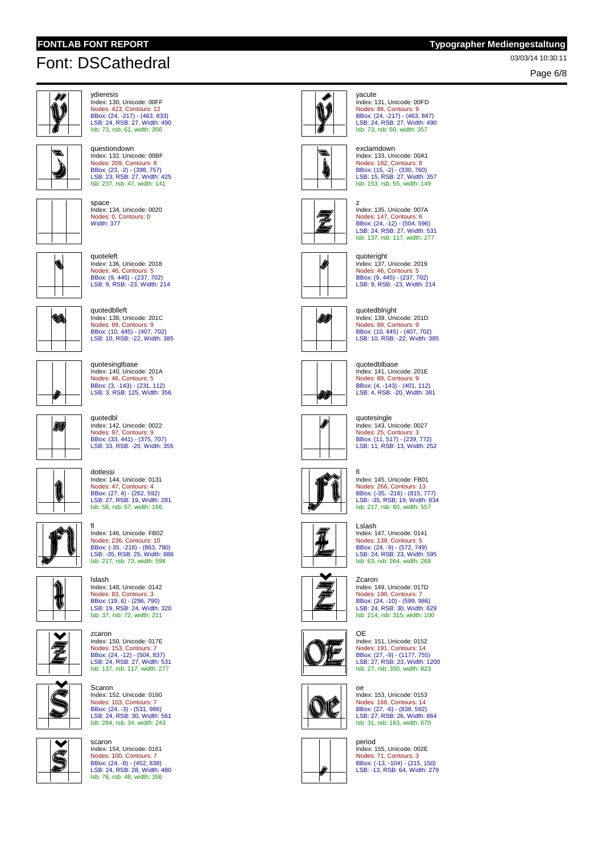questiondown



ydieresis Index: 130, Unicode: 00FF Nodes: 423, Contours: 12 BBox: (24, -217) - (463, 833) LSB: 24, RSB: 27, Width: 490 lsb: 73, rsb: 61, width: 356

Index: 132, Unicode: 00BF Nodes: 209, Contours: 8 BBox: (23, -2) - (398, 757) LSB: 23, RSB: 27, Width: 425 lsb: 237, rsb: 47, width: 141



space Index: 134, Unicode: 0020 Nodes: 0, Contours: 0 Width: 377



quoteleft Index: 136, Unicode: 2018 Nodes: 46, Contours: 5 BBox: (9, 445) - (237, 702) LSB: 9, RSB: -23, Width: 214



quotedblleft Index: 138, Unicode: 201C Nodes: 89, Contours: 9 BBox: (10, 445) - (407, 702) LSB: 10, RSB: -22, Width: 385

Index: 140, Unicode: 201A Nodes: 46, Contours: 5 BBox: (3, -143) - (231, 112) LSB: 3, RSB: 125, Width: 356

quotesinglbase



M

quotedbl Index: 142, Unicode: 0022 Nodes: 97, Contours: 9 BBox: (33, 441) - (375, 707) LSB: 33, RSB: -20, Width: 355

Index: 144, Unicode: 0131



Nodes: 47, Contours: 4 BBox: (27, 4) - (262, 592) LSB: 27, RSB: 19, Width: 281 lsb: 58, rsb: 57, width: 166 fl Index: 146, Unicode: FB02

dotlessi



Ż

Nodes: 236, Contours: 10 BBox: (-35, -216) - (863, 790) LSB: -35, RSB: 25, Width: 888 lsb: 217, rsb: 73, width: 598 lslash



zcaron Index: 150, Unicode: 017E Nodes: 153, Contours: 7 BBox: (24, -12) - (504, 837) LSB: 24, RSB: 27, Width: 531 lsb: 137, rsb: 117, width: 277



Nodes: 103, Contours: 7 BBox: (24, -3) - (531, 986) LSB: 24, RSB: 30, Width: 561 lsb: 284, rsb: 34, width: 243 scaron Index: 154, Unicode: 0161

Scaron Index: 152, Unicode: 0160



Nodes: 100, Contours: 7 BBox: (24, -8) - (452, 838) LSB: 24, RSB: 28, Width: 480 lsb: 76, rsb: 48, width: 356



yacute Index: 131, Unicode: 00FD Nodes: 86, Contours: 9 BBox: (24, -217) - (463, 847) LSB: 24, RSB: 27, Width: 490 lsb: 73, rsb: 60, width: 357



exclamdown Index: 133, Unicode: 00A1 Nodes: 182, Contours: 8 BBox: (15, -2) - (330, 760) LSB: 15, RSB: 27, Width: 357 lsb: 153, rsb: 55, width: 149



z Index: 135, Unicode: 007A Nodes: 147, Contours: 6 BBox: (24, -12) - (504, 596) LSB: 24, RSB: 27, Width: 531 lsb: 137, rsb: 117, width: 277





DÛ

DJ.



quotesingle Index: 143, Unicode: 0027 Nodes: 25, Contours: 3 BBox: (11, 517) - (239, 772) LSB: 11, RSB: 13, Width: 252



fi Index: 145, Unicode: FB01 Nodes: 266, Contours: 13 BBox: (-35, -216) - (815, 777) LSB: -35, RSB: 19, Width: 834 lsb: 217, rsb: 60, width: 557



Lslash Index: 147, Unicode: 0141 Nodes: 138, Contours: 5 BBox: (24, -9) - (572, 749) LSB: 24, RSB: 23, Width: 595 lsb: 63, rsb: 264, width: 268

Zcaron Index: 149, Unicode: 017D Nodes: 190, Contours: 7 BBox: (24, -10) - (599, 986) LSB: 24, RSB: 30, Width: 629 lsb: 214, rsb: 315, width: 100



OE Index: 151, Unicode: 0152 Nodes: 191, Contours: 14 BBox: (27, -9) - (1177, 755) LSB: 27, RSB: 23, Width: 1200 lsb: 27, rsb: 350, width: 823



oe Index: 153, Unicode: 0153 Nodes: 166, Contours: 14 BBox: (27, -6) - (838, 592) LSB: 27, RSB: 26, Width: 864 lsb: 31, rsb: 163, width: 670



period Index: 155, Unicode: 002E Nodes: 71, Contours: 3 BBox: (-13, -104) - (215, 150) LSB: -13, RSB: 64, Width: 279

Index: 137, Unicode: 2019 Nodes: 46, Contours: 5 BBox: (9, 445) - (237, 702) LSB: 9, RSB: -23, Width: 214

quoteright



Index: 139, Unicode: 201D Nodes: 89, Contours: 9 BBox: (10, 445) - (407, 702) LSB: 10, RSB: -22, Width: 385



quotedblbase Index: 141, Unicode: 201E Nodes: 89, Contours: 9 BBox: (4, -143) - (401, 112) LSB: 4, RSB: -20, Width: 381





**FONTLAB FONT REPORT Typographer Mediengestaltung**

Page 6/8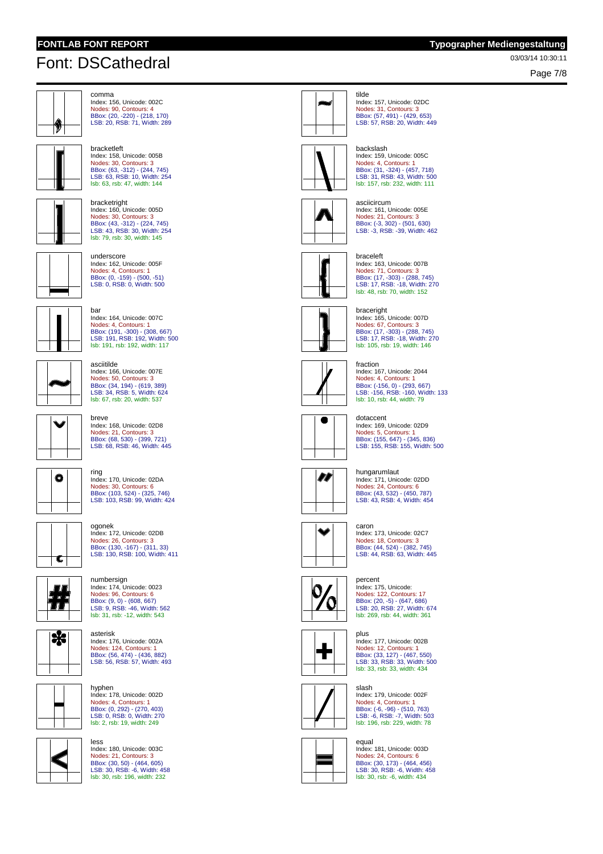Page 7/8



comma Index: 156, Unicode: 002C Nodes: 90, Contours: 4 BBox: (20, -220) - (218, 170) LSB: 20, RSB: 71, Width: 289



Index: 158, Unicode: 005B Nodes: 30, Contours: 3 BBox: (63, -312) - (244, 745) LSB: 63, RSB: 10, Width: 254 lsb: 63, rsb: 47, width: 144



asciitilde

bracketleft



BBox: (43, -312) - (224, 745) LSB: 43, RSB: 30, Width: 254 lsb: 79, rsb: 30, width: 145 underscore Index: 162, Unicode: 005F



Index: 166, Unicode: 007E Nodes: 50, Contours: 3 BBox: (34, 194) - (619, 389) LSB: 34, RSB: 5, Width: 624 lsb: 67, rsb: 20, width: 537

Index: 164, Unicode: 007C Nodes: 4, Contours: 1 BBox: (191, -300) - (308, 667) LSB: 191, RSB: 192, Width: 500 lsb: 191, rsb: 192, width: 117



# breve Index: 168, Unicode: 02D8 Nodes: 21, Contours: 3 BBox: (68, 530) - (399, 721) LSB: 68, RSB: 46, Width: 445



Index: 170, Unicode: 02DA Nodes: 30, Contours: 6 BBox: (103, 524) - (325, 746) LSB: 103, RSB: 99, Width: 424









asterisk Index: 176, Unicode: 002A Nodes: 124, Contours: 1 BBox: (56, 474) - (436, 882) LSB: 56, RSB: 57, Width: 493

Index: 178, Unicode: 002D Nodes: 4, Contours: 1 BBox: (0, 292) - (270, 403) LSB: 0, RSB: 0, Width: 270 lsb: 2, rsb: 19, width: 249

hyphen



less Index: 180, Unicode: 003C

Nodes: 21, Contours: 3 BBox: (30, 50) - (464, 605) LSB: 30, RSB: -6, Width: 458 lsb: 30, rsb: 196, width: 232







### Index: 159, Unicode: 005C Nodes: 4, Contours: 1 BBox: (31, -324) - (457, 718) LSB: 31, RSB: 43, Width: 500 lsb: 157, rsb: 232, width: 111



asciicircum Index: 161, Unicode: 005E Nodes: 21, Contours: 3 BBox: (-3, 302) - (501, 630) LSB: -3, RSB: -39, Width: 462



braceleft



# Index: 167, Unicode: 2044 Nodes: 4, Contours: 1 BBox: (-156, 0) - (293, 667) LSB: -156, RSB: -160, Width: 133 lsb: 10, rsb: 44, width: 79



Index: 169, Unicode: 02D9 Nodes: 5, Contours: 1 BBox: (155, 647) - (345, 836) LSB: 155, RSB: 155, Width: 500



Index: 171, Unicode: 02DD Nodes: 24, Contours: 6 BBox: (43, 532) - (450, 787) LSB: 43, RSB: 4, Width: 454



Index: 173, Unicode: 02C7 Nodes: 18, Contours: 3 BBox: (44, 524) - (382, 745) LSB: 44, RSB: 63, Width: 445





Nodes: 12, Contours: 1 BBox: (33, 127) - (467, 550) LSB: 33, RSB: 33, Width: 500 lsb: 33, rsb: 33, width: 434



slash Index: 179, Unicode: 002F Nodes: 4, Contours: 1 BBox: (-6, -96) - (510, 763) LSB: -6, RSB: -7, Width: 503 lsb: 196, rsb: 229, width: 78



equal Index: 181, Unicode: 003D Nodes: 24, Contours: 6 BBox: (30, 173) - (464, 456) LSB: 30, RSB: -6, Width: 458 lsb: 30, rsb: -6, width: 434





Index: 163, Unicode: 007B Nodes: 71, Contours: 3 BBox: (17, -303) - (288, 745) LSB: 17, RSB: -18, Width: 270 lsb: 48, rsb: 70, width: 152



Index: 165, Unicode: 007D Nodes: 67, Contours: 3 BBox: (17, -303) - (288, 745) LSB: 17, RSB: -18, Width: 270 lsb: 105, rsb: 19, width: 146



fraction

dotaccent



hungarumlaut









### percent Index: 175, Unicode: